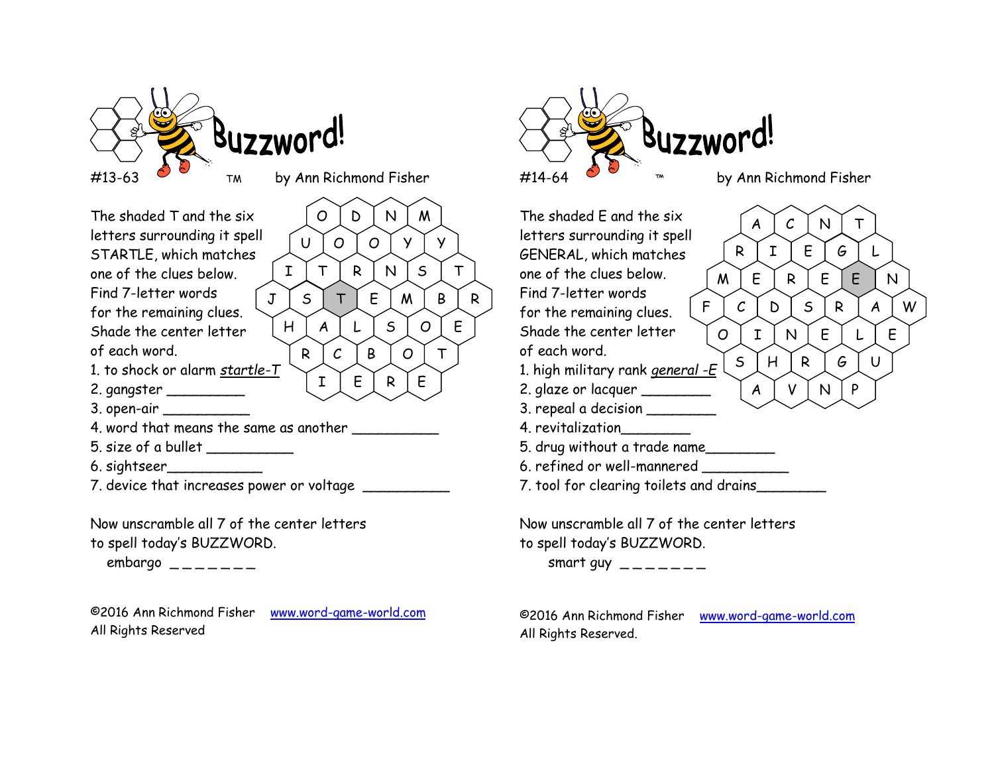

O | D | N | M |

U | O | O | Y | Y |

R C B O T

 $E \restriction R \restriction E$ 

The shaded T and the six  $\overline{O}$ letters surrounding it spell STARTLE, which matches one of the clues below. Find 7-letter words  $\int J$ for the remaining clues.  $S$ hade the center letter  $H$ of each word. 1. to shock or alarm <u>startle-T</u> 2. gangster \_\_\_\_\_\_\_\_\_ 3. open-air \_\_\_\_\_\_\_\_\_\_\_\_\_ 4. word that means the same as another \_\_\_\_\_\_\_\_\_\_

- 5. size of a bullet \_\_\_\_\_\_\_\_\_\_
- 6. sightseer\_\_\_\_\_\_\_\_\_\_\_
- 7. device that increases power or voltage

Now unscramble all 7 of the center letters to spell today's BUZZWORD.

embargo  $-\frac{1}{2}$ 

©2016 Ann Richmond Fisher www.word-game-world.com All Rights Reserved



The shaded E and the six letters surrounding it spell GENERAL, which matches one of the clues below. Find 7-letter words for the remaining clues.  $F$ Shade the center letter  $\bigcap$   $\bigcap$ of each word. 1. high military rank *general* -E S H 2. glaze or lacquer  $\begin{bmatrix} A \end{bmatrix}$ 3. repeal a decision \_\_\_\_\_\_\_\_\_ 4. revitalization\_\_\_\_\_\_\_\_ 5. drug without a trade name\_\_\_\_\_\_\_\_ 6. refined or well-mannered \_\_\_\_\_\_\_\_\_\_ 7. tool for clearing toilets and drains  $\texttt{I} \hspace{0.2cm} | \hspace{0.2cm} \texttt{T} \hspace{0.2cm} | \hspace{0.2cm} \texttt{R} \hspace{0.2cm} | \hspace{0.2cm} \texttt{N} \hspace{0.2cm} | \hspace{0.2cm} \texttt{S} \hspace{0.2cm} | \hspace{0.2cm} \texttt{T} \hspace{0.2cm} | \hspace{0.2cm} \texttt{or} \hspace{0.2cm}$  $J$   $\mid$   $S$   $\mid$   $T$   $\mid$   $E$   $\mid$   $M$   $\mid$   $B$   $\mid$   $R$   $\mid$   $\mid$   $T$   $\mid$   $T$ H | A | L | S | O | E | C  $A \mid C \mid N \mid T \mid$ R | I | E | *G* | L |  $M \mid E \mid R \mid E \mid E \mid N \mid$  $F$   $\mid$   $C$   $\mid$   $D$   $\mid$   $S$   $\mid$  R  $\mid$  A  $\mid$  W  $\mid$ O | I | N | E | L | E |  $S$   $\mid$   $H$   $\mid$   $R$   $\mid$   $G$   $\mid$   $\mid$   $\mid$   $\mid$  $V$   $N$   $P$ 

> Now unscramble all 7 of the center letters to spell today's BUZZWORD.

smart guy  $\_\_$ 

©2016 Ann Richmond Fisher www.word-game-world.com All Rights Reserved.